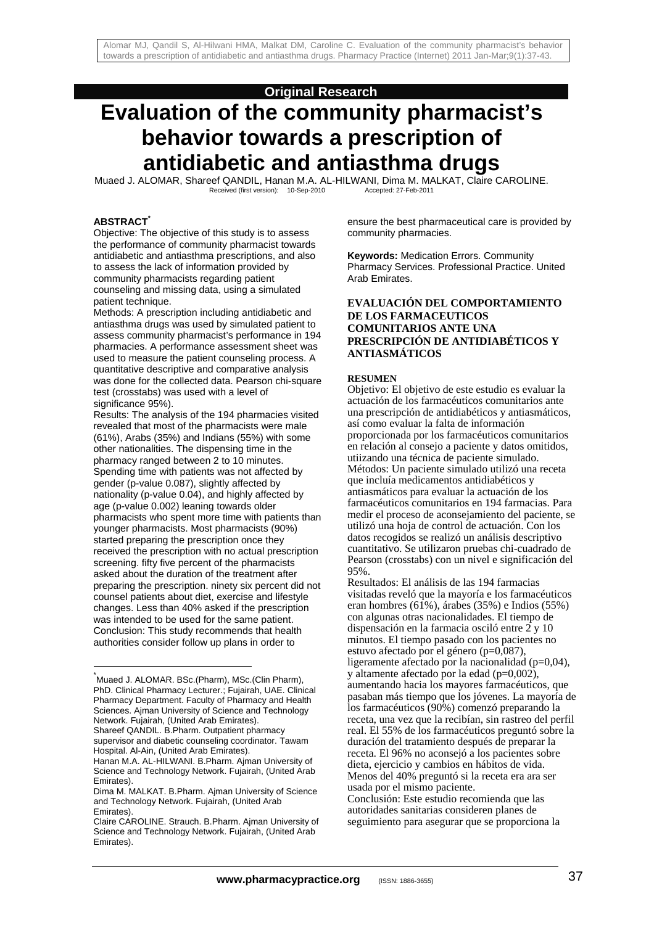# **Original Research**

# **Evaluation of the community pharmacist's behavior towards a prescription of antidiabetic and antiasthma drugs**

Muaed J. ALOMAR, Shareef QANDIL, Hanan M.A. AL-HILWANI, Dima M. MALKAT, Claire CAROLINE.<br>Received (first version): 10-Sep-2010 Accepted: 27-Feb-2011 Received (first version): 10-Sep-2010

#### **ABSTRACT\***

l

Objective: The objective of this study is to assess the performance of community pharmacist towards antidiabetic and antiasthma prescriptions, and also to assess the lack of information provided by community pharmacists regarding patient counseling and missing data, using a simulated patient technique.

Methods: A prescription including antidiabetic and antiasthma drugs was used by simulated patient to assess community pharmacist's performance in 194 pharmacies. A performance assessment sheet was used to measure the patient counseling process. A quantitative descriptive and comparative analysis was done for the collected data. Pearson chi-square test (crosstabs) was used with a level of significance 95%).

Results: The analysis of the 194 pharmacies visited revealed that most of the pharmacists were male (61%), Arabs (35%) and Indians (55%) with some other nationalities. The dispensing time in the pharmacy ranged between 2 to 10 minutes. Spending time with patients was not affected by gender (p-value 0.087), slightly affected by nationality (p-value 0.04), and highly affected by age (p-value 0.002) leaning towards older pharmacists who spent more time with patients than younger pharmacists. Most pharmacists (90%) started preparing the prescription once they received the prescription with no actual prescription screening. fifty five percent of the pharmacists asked about the duration of the treatment after preparing the prescription. ninety six percent did not counsel patients about diet, exercise and lifestyle changes. Less than 40% asked if the prescription was intended to be used for the same patient. Conclusion: This study recommends that health authorities consider follow up plans in order to

ensure the best pharmaceutical care is provided by community pharmacies.

**Keywords:** Medication Errors. Community Pharmacy Services. Professional Practice. United Arab Emirates.

#### **EVALUACIÓN DEL COMPORTAMIENTO DE LOS FARMACEUTICOS COMUNITARIOS ANTE UNA PRESCRIPCIÓN DE ANTIDIABÉTICOS Y ANTIASMÁTICOS**

#### **RESUMEN**

Objetivo: El objetivo de este estudio es evaluar la actuación de los farmacéuticos comunitarios ante una prescripción de antidiabéticos y antiasmáticos, así como evaluar la falta de información proporcionada por los farmacéuticos comunitarios en relación al consejo a paciente y datos omitidos, utiizando una técnica de paciente simulado. Métodos: Un paciente simulado utilizó una receta que incluía medicamentos antidiabéticos y antiasmáticos para evaluar la actuación de los farmacéuticos comunitarios en 194 farmacias. Para medir el proceso de aconsejamiento del paciente, se utilizó una hoja de control de actuación. Con los datos recogidos se realizó un análisis descriptivo cuantitativo. Se utilizaron pruebas chi-cuadrado de Pearson (crosstabs) con un nivel e significación del 95%.

Resultados: El análisis de las 194 farmacias visitadas reveló que la mayoría e los farmacéuticos eran hombres (61%), árabes (35%) e Indios (55%) con algunas otras nacionalidades. El tiempo de dispensación en la farmacia osciló entre 2 y 10 minutos. El tiempo pasado con los pacientes no estuvo afectado por el género (p=0,087), ligeramente afectado por la nacionalidad (p=0,04), y altamente afectado por la edad (p=0,002), aumentando hacia los mayores farmacéuticos, que pasaban más tiempo que los jóvenes. La mayoría de los farmacéuticos (90%) comenzó preparando la receta, una vez que la recibían, sin rastreo del perfil real. El 55% de los farmacéuticos preguntó sobre la duración del tratamiento después de preparar la receta. El 96% no aconsejó a los pacientes sobre dieta, ejercicio y cambios en hábitos de vida. Menos del 40% preguntó si la receta era ara ser usada por el mismo paciente. Conclusión: Este estudio recomienda que las autoridades sanitarias consideren planes de

seguimiento para asegurar que se proporciona la

<sup>\*</sup> Muaed J. ALOMAR. BSc.(Pharm), MSc.(Clin Pharm), PhD. Clinical Pharmacy Lecturer.; Fujairah, UAE. Clinical Pharmacy Department. Faculty of Pharmacy and Health Sciences. Ajman University of Science and Technology Network. Fujairah, (United Arab Emirates).

Shareef QANDIL. B.Pharm. Outpatient pharmacy supervisor and diabetic counseling coordinator. Tawam Hospital. Al-Ain, (United Arab Emirates).

Hanan M.A. AL-HILWANI. B.Pharm. Ajman University of Science and Technology Network. Fujairah, (United Arab Emirates).

Dima M. MALKAT. B.Pharm. Ajman University of Science and Technology Network. Fujairah, (United Arab Emirates).

Claire CAROLINE. Strauch. B.Pharm. Ajman University of Science and Technology Network. Fujairah, (United Arab Emirates).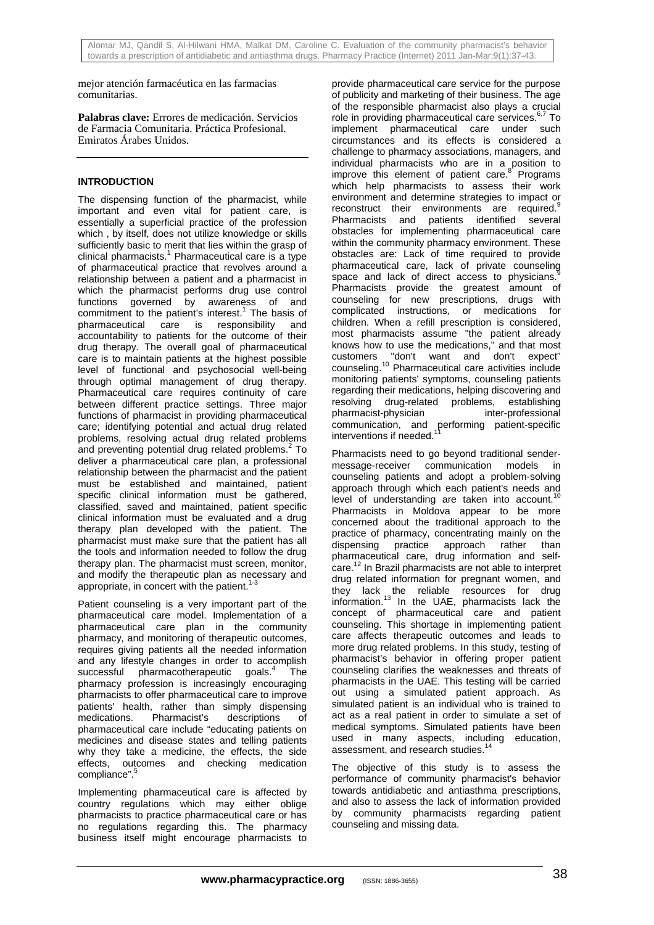mejor atención farmacéutica en las farmacias comunitarias.

**Palabras clave:** Errores de medicación. Servicios de Farmacia Comunitaria. Práctica Profesional. Emiratos Árabes Unidos.

## **INTRODUCTION**

The dispensing function of the pharmacist, while important and even vital for patient care, is essentially a superficial practice of the profession which , by itself, does not utilize knowledge or skills sufficiently basic to merit that lies within the grasp of clinical pharmacists.<sup>1</sup> Pharmaceutical care is a type of pharmaceutical practice that revolves around a relationship between a patient and a pharmacist in which the pharmacist performs drug use control functions governed by awareness of and commitment to the patient's interest.<sup>1</sup> The basis of pharmaceutical care is responsibility and accountability to patients for the outcome of their drug therapy. The overall goal of pharmaceutical care is to maintain patients at the highest possible level of functional and psychosocial well-being through optimal management of drug therapy. Pharmaceutical care requires continuity of care between different practice settings. Three major functions of pharmacist in providing pharmaceutical care; identifying potential and actual drug related problems, resolving actual drug related problems and preventing potential drug related problems.<sup>2</sup> To deliver a pharmaceutical care plan, a professional relationship between the pharmacist and the patient must be established and maintained, patient specific clinical information must be gathered, classified, saved and maintained, patient specific clinical information must be evaluated and a drug therapy plan developed with the patient. The pharmacist must make sure that the patient has all the tools and information needed to follow the drug therapy plan. The pharmacist must screen, monitor, and modify the therapeutic plan as necessary and appropriate, in concert with the patient.<sup>1</sup>

Patient counseling is a very important part of the pharmaceutical care model. Implementation of a pharmaceutical care plan in the community pharmacy, and monitoring of therapeutic outcomes, requires giving patients all the needed information and any lifestyle changes in order to accomplish successful pharmacotherapeutic goals.<sup>4</sup> The pharmacy profession is increasingly encouraging pharmacists to offer pharmaceutical care to improve patients' health, rather than simply dispensing medications. Pharmacist's descriptions of pharmaceutical care include "educating patients on medicines and disease states and telling patients why they take a medicine, the effects, the side effects, outcomes and checking medication compliance".<sup>5</sup>

Implementing pharmaceutical care is affected by country regulations which may either oblige pharmacists to practice pharmaceutical care or has no regulations regarding this. The pharmacy business itself might encourage pharmacists to

provide pharmaceutical care service for the purpose of publicity and marketing of their business. The age of the responsible pharmacist also plays a crucial role in providing pharmaceutical care services.<sup>6,7</sup> To implement pharmaceutical care under such circumstances and its effects is considered a challenge to pharmacy associations, managers, and individual pharmacists who are in a position to improve this element of patient care.<sup>8</sup> Programs which help pharmacists to assess their work environment and determine strategies to impact or reconstruct their environments are required.<sup>9</sup> Pharmacists and patients identified several obstacles for implementing pharmaceutical care within the community pharmacy environment. These obstacles are: Lack of time required to provide pharmaceutical care, lack of private counseling space and lack of direct access to physicians. Pharmacists provide the greatest amount of counseling for new prescriptions, drugs with complicated instructions, or medications for children. When a refill prescription is considered, most pharmacists assume "the patient already knows how to use the medications," and that most customers "don't want and don't expect" counseling.10 Pharmaceutical care activities include monitoring patients' symptoms, counseling patients regarding their medications, helping discovering and resolving drug-related problems, establishing pharmacist-physician inter-professional communication, and performing patient-specific interventions if needed.<sup>11</sup>

Pharmacists need to go beyond traditional sendermessage-receiver communication models in counseling patients and adopt a problem-solving approach through which each patient's needs and level of understanding are taken into account.<sup>1</sup> Pharmacists in Moldova appear to be more concerned about the traditional approach to the practice of pharmacy, concentrating mainly on the dispensing practice approach rather than pharmaceutical care, drug information and selfcare.12 In Brazil pharmacists are not able to interpret drug related information for pregnant women, and they lack the reliable resources for drug information.<sup>13</sup> In the UAE, pharmacists lack the concept of pharmaceutical care and patient counseling. This shortage in implementing patient care affects therapeutic outcomes and leads to more drug related problems. In this study, testing of pharmacist's behavior in offering proper patient counseling clarifies the weaknesses and threats of pharmacists in the UAE. This testing will be carried out using a simulated patient approach. As simulated patient is an individual who is trained to act as a real patient in order to simulate a set of medical symptoms. Simulated patients have been used in many aspects, including education, assessment, and research studies.<sup>14</sup>

The objective of this study is to assess the performance of community pharmacist's behavior towards antidiabetic and antiasthma prescriptions, and also to assess the lack of information provided by community pharmacists regarding patient counseling and missing data.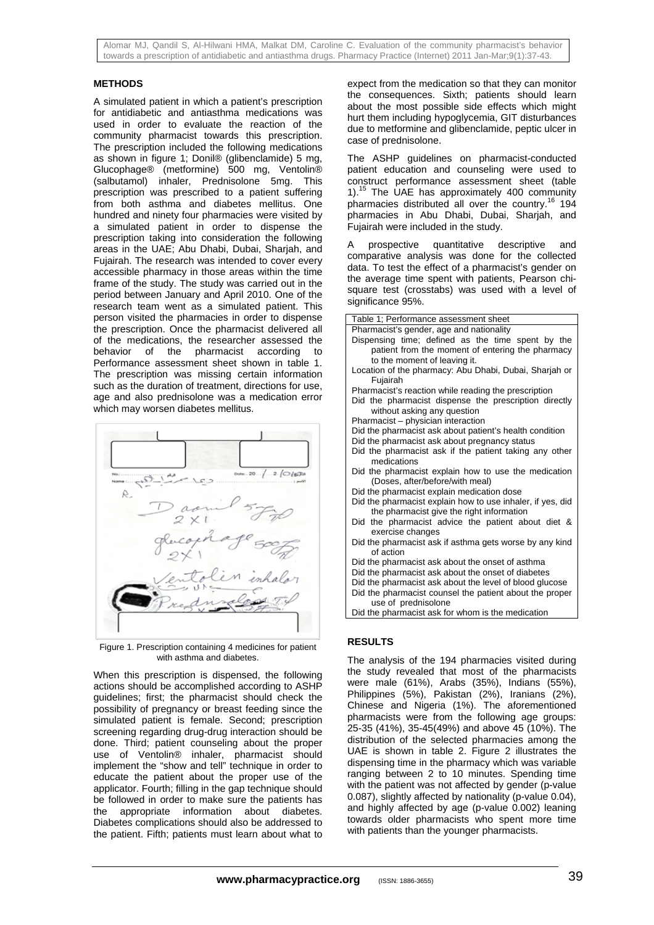Alomar MJ, Qandil S, Al-Hilwani HMA, Malkat DM, Caroline C. Evaluation of the community pharmacist's behavior towards a prescription of antidiabetic and antiasthma drugs. Pharmacy Practice (Internet) 2011 Jan-Mar;9(1):37-43.

#### **METHODS**

A simulated patient in which a patient's prescription for antidiabetic and antiasthma medications was used in order to evaluate the reaction of the community pharmacist towards this prescription. The prescription included the following medications as shown in figure 1; Donil® (glibenclamide) 5 mg, Glucophage® (metformine) 500 mg, Ventolin® (salbutamol) inhaler, Prednisolone 5mg. This prescription was prescribed to a patient suffering from both asthma and diabetes mellitus. One hundred and ninety four pharmacies were visited by a simulated patient in order to dispense the prescription taking into consideration the following areas in the UAE; Abu Dhabi, Dubai, Sharjah, and Fujairah. The research was intended to cover every accessible pharmacy in those areas within the time frame of the study. The study was carried out in the period between January and April 2010. One of the research team went as a simulated patient. This person visited the pharmacies in order to dispense the prescription. Once the pharmacist delivered all of the medications, the researcher assessed the behavior of the pharmacist according to Performance assessment sheet shown in table 1. The prescription was missing certain information such as the duration of treatment, directions for use, age and also prednisolone was a medication error which may worsen diabetes mellitus.



Figure 1. Prescription containing 4 medicines for patient with asthma and diabetes.

When this prescription is dispensed, the following actions should be accomplished according to ASHP guidelines; first; the pharmacist should check the possibility of pregnancy or breast feeding since the simulated patient is female. Second; prescription screening regarding drug-drug interaction should be done. Third; patient counseling about the proper use of Ventolin® inhaler, pharmacist should implement the "show and tell" technique in order to educate the patient about the proper use of the applicator. Fourth; filling in the gap technique should be followed in order to make sure the patients has the appropriate information about diabetes. Diabetes complications should also be addressed to the patient. Fifth; patients must learn about what to

expect from the medication so that they can monitor the consequences. Sixth; patients should learn about the most possible side effects which might hurt them including hypoglycemia, GIT disturbances due to metformine and glibenclamide, peptic ulcer in case of prednisolone.

The ASHP guidelines on pharmacist-conducted patient education and counseling were used to construct performance assessment sheet (table 1).15 The UAE has approximately 400 community pharmacies distributed all over the country.<sup>16</sup> 194 pharmacies in Abu Dhabi, Dubai, Sharjah, and Fujairah were included in the study.

A prospective quantitative descriptive and comparative analysis was done for the collected data. To test the effect of a pharmacist's gender on the average time spent with patients, Pearson chisquare test (crosstabs) was used with a level of significance 95%.

Table 1; Performance assessment sheet Pharmacist's gender, age and nationality Dispensing time; defined as the time spent by the patient from the moment of entering the pharmacy to the moment of leaving it. Location of the pharmacy: Abu Dhabi, Dubai, Sharjah or Fujairah Pharmacist's reaction while reading the prescription Did the pharmacist dispense the prescription directly without asking any question Pharmacist – physician interaction Did the pharmacist ask about patient's health condition Did the pharmacist ask about pregnancy status Did the pharmacist ask if the patient taking any other medications Did the pharmacist explain how to use the medication (Doses, after/before/with meal) Did the pharmacist explain medication dose Did the pharmacist explain how to use inhaler, if yes, did the pharmacist give the right information Did the pharmacist advice the patient about diet & exercise changes Did the pharmacist ask if asthma gets worse by any kind of action Did the pharmacist ask about the onset of asthma Did the pharmacist ask about the onset of diabetes Did the pharmacist ask about the level of blood glucose Did the pharmacist counsel the patient about the proper use of prednisolone Did the pharmacist ask for whom is the medication **RESULTS** 

The analysis of the 194 pharmacies visited during the study revealed that most of the pharmacists were male (61%), Arabs (35%), Indians (55%), Philippines (5%), Pakistan (2%), Iranians (2%), Chinese and Nigeria (1%). The aforementioned pharmacists were from the following age groups: 25-35 (41%), 35-45(49%) and above 45 (10%). The distribution of the selected pharmacies among the UAE is shown in table 2. Figure 2 illustrates the dispensing time in the pharmacy which was variable ranging between 2 to 10 minutes. Spending time with the patient was not affected by gender (p-value 0.087), slightly affected by nationality (p-value 0.04), and highly affected by age (p-value 0.002) leaning towards older pharmacists who spent more time with patients than the younger pharmacists.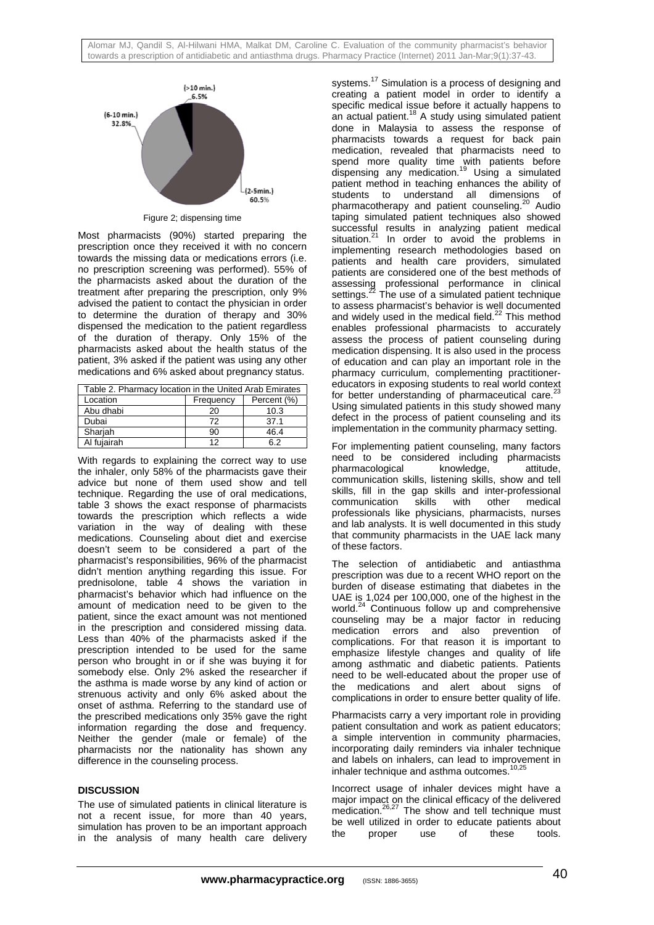

Figure 2; dispensing time

Most pharmacists (90%) started preparing the prescription once they received it with no concern towards the missing data or medications errors (i.e. no prescription screening was performed). 55% of the pharmacists asked about the duration of the treatment after preparing the prescription, only 9% advised the patient to contact the physician in order to determine the duration of therapy and 30% dispensed the medication to the patient regardless of the duration of therapy. Only 15% of the pharmacists asked about the health status of the patient, 3% asked if the patient was using any other medications and 6% asked about pregnancy status.

| Table 2. Pharmacy location in the United Arab Emirates |           |             |  |  |
|--------------------------------------------------------|-----------|-------------|--|--|
| Location                                               | Frequency | Percent (%) |  |  |
| Abu dhabi                                              | 20        | 10.3        |  |  |
| Dubai                                                  | 72        | 37.1        |  |  |
| Sharjah                                                | 90        | 46.4        |  |  |
| Al fuiairah                                            | 12        | հ 2         |  |  |

With regards to explaining the correct way to use the inhaler, only 58% of the pharmacists gave their advice but none of them used show and tell technique. Regarding the use of oral medications, table 3 shows the exact response of pharmacists towards the prescription which reflects a wide variation in the way of dealing with these medications. Counseling about diet and exercise doesn't seem to be considered a part of the pharmacist's responsibilities, 96% of the pharmacist didn't mention anything regarding this issue. For prednisolone, table 4 shows the variation in pharmacist's behavior which had influence on the amount of medication need to be given to the patient, since the exact amount was not mentioned in the prescription and considered missing data. Less than 40% of the pharmacists asked if the prescription intended to be used for the same person who brought in or if she was buying it for somebody else. Only 2% asked the researcher if the asthma is made worse by any kind of action or strenuous activity and only 6% asked about the onset of asthma. Referring to the standard use of the prescribed medications only 35% gave the right information regarding the dose and frequency. Neither the gender (male or female) of the pharmacists nor the nationality has shown any difference in the counseling process.

### **DISCUSSION**

The use of simulated patients in clinical literature is not a recent issue, for more than 40 years, simulation has proven to be an important approach in the analysis of many health care delivery systems.<sup>17</sup> Simulation is a process of designing and creating a patient model in order to identify a specific medical issue before it actually happens to an actual patient.<sup>18</sup> A study using simulated patient done in Malaysia to assess the response of pharmacists towards a request for back pain medication, revealed that pharmacists need to spend more quality time with patients before dispensing any medication.<sup>19</sup> Using a simulated patient method in teaching enhances the ability of students to understand all dimensions of pharmacotherapy and patient counseling.<sup>20</sup> Audio taping simulated patient techniques also showed successful results in analyzing patient medical situation.<sup>21</sup> In order to avoid the problems in implementing research methodologies based on patients and health care providers, simulated patients are considered one of the best methods of assessing professional performance in clinical settings. $^{22}$  The use of a simulated patient technique to assess pharmacist's behavior is well documented and widely used in the medical field.<sup>22</sup> This method enables professional pharmacists to accurately assess the process of patient counseling during medication dispensing. It is also used in the process of education and can play an important role in the pharmacy curriculum, complementing practitionereducators in exposing students to real world context for better understanding of pharmaceutical care.<sup>2</sup> Using simulated patients in this study showed many defect in the process of patient counseling and its implementation in the community pharmacy setting.

For implementing patient counseling, many factors need to be considered including pharmacists pharmacological knowledge, attitude, communication skills, listening skills, show and tell skills, fill in the gap skills and inter-professional communication skills with other medical professionals like physicians, pharmacists, nurses and lab analysts. It is well documented in this study that community pharmacists in the UAE lack many of these factors.

The selection of antidiabetic and antiasthma prescription was due to a recent WHO report on the burden of disease estimating that diabetes in the UAE is 1,024 per 100,000, one of the highest in the world.<sup>24</sup> Continuous follow up and comprehensive counseling may be a major factor in reducing medication errors and also prevention of complications. For that reason it is important to emphasize lifestyle changes and quality of life among asthmatic and diabetic patients. Patients need to be well-educated about the proper use of the medications and alert about signs of complications in order to ensure better quality of life.

Pharmacists carry a very important role in providing patient consultation and work as patient educators; a simple intervention in community pharmacies, incorporating daily reminders via inhaler technique and labels on inhalers, can lead to improvement in inhaler technique and asthma outcomes.

Incorrect usage of inhaler devices might have a major impact on the clinical efficacy of the delivered major impact on the similar embacy of the delivered<br>medication.<sup>26,27</sup> The show and tell technique must be well utilized in order to educate patients about the proper use of these tools.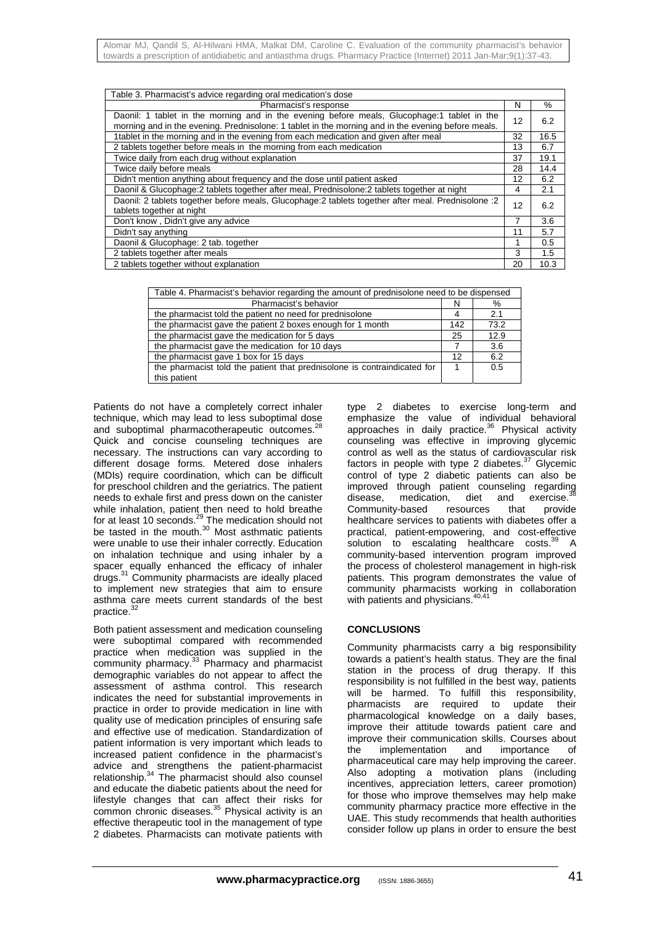| Table 3. Pharmacist's advice regarding oral medication's dose                                                                                                                                     |    |      |  |  |
|---------------------------------------------------------------------------------------------------------------------------------------------------------------------------------------------------|----|------|--|--|
| Pharmacist's response                                                                                                                                                                             |    | $\%$ |  |  |
| Daonil: 1 tablet in the morning and in the evening before meals, Glucophage:1 tablet in the<br>morning and in the evening. Prednisolone: 1 tablet in the morning and in the evening before meals. |    | 6.2  |  |  |
| 1tablet in the morning and in the evening from each medication and given after meal                                                                                                               |    | 16.5 |  |  |
| 2 tablets together before meals in the morning from each medication                                                                                                                               |    | 6.7  |  |  |
| Twice daily from each drug without explanation                                                                                                                                                    |    | 19.1 |  |  |
| Twice daily before meals                                                                                                                                                                          |    | 14.4 |  |  |
| Didn't mention anything about frequency and the dose until patient asked                                                                                                                          |    | 6.2  |  |  |
| Daonil & Glucophage:2 tablets together after meal, Prednisolone:2 tablets together at night                                                                                                       |    | 2.1  |  |  |
| Daonil: 2 tablets together before meals, Glucophage: 2 tablets together after meal. Prednisolone : 2<br>tablets together at night                                                                 |    | 6.2  |  |  |
| Don't know, Didn't give any advice                                                                                                                                                                |    | 3.6  |  |  |
| Didn't say anything                                                                                                                                                                               | 11 | 5.7  |  |  |
| Daonil & Glucophage: 2 tab. together                                                                                                                                                              |    | 0.5  |  |  |
| 2 tablets together after meals                                                                                                                                                                    |    | 1.5  |  |  |
| 2 tablets together without explanation                                                                                                                                                            |    | 10.3 |  |  |

| Table 4. Pharmacist's behavior regarding the amount of prednisolone need to be dispensed |  |      |  |  |
|------------------------------------------------------------------------------------------|--|------|--|--|
| Pharmacist's behavior                                                                    |  | %    |  |  |
| the pharmacist told the patient no need for prednisolone                                 |  | 2.1  |  |  |
| the pharmacist gave the patient 2 boxes enough for 1 month                               |  | 73.2 |  |  |
| the pharmacist gave the medication for 5 days                                            |  | 12.9 |  |  |
| the pharmacist gave the medication for 10 days                                           |  | 3.6  |  |  |
| the pharmacist gave 1 box for 15 days                                                    |  | 6.2  |  |  |
| the pharmacist told the patient that prednisolone is contraindicated for                 |  | 0.5  |  |  |
| this patient                                                                             |  |      |  |  |

Patients do not have a completely correct inhaler technique, which may lead to less suboptimal dose and suboptimal pharmacotherapeutic outcomes.<sup>28</sup> Quick and concise counseling techniques are necessary. The instructions can vary according to different dosage forms. Metered dose inhalers (MDIs) require coordination, which can be difficult for preschool children and the geriatrics. The patient needs to exhale first and press down on the canister while inhalation, patient then need to hold breathe for at least 10 seconds.<sup>29</sup> The medication should not be tasted in the mouth. $30$  Most asthmatic patients were unable to use their inhaler correctly. Education on inhalation technique and using inhaler by a spacer equally enhanced the efficacy of inhaler drugs.<sup>31</sup> Community pharmacists are ideally placed to implement new strategies that aim to ensure asthma care meets current standards of the best practice.<sup>3</sup>

Both patient assessment and medication counseling were suboptimal compared with recommended practice when medication was supplied in the community pharmacy.<sup>33</sup> Pharmacy and pharmacist demographic variables do not appear to affect the assessment of asthma control. This research indicates the need for substantial improvements in practice in order to provide medication in line with quality use of medication principles of ensuring safe and effective use of medication. Standardization of patient information is very important which leads to increased patient confidence in the pharmacist's advice and strengthens the patient-pharmacist relationship.<sup>34</sup> The pharmacist should also counsel and educate the diabetic patients about the need for lifestyle changes that can affect their risks for common chronic diseases.<sup>35</sup> Physical activity is an effective therapeutic tool in the management of type 2 diabetes. Pharmacists can motivate patients with

type 2 diabetes to exercise long-term and emphasize the value of individual behavioral approaches in daily practice.<sup>36</sup> Physical activity counseling was effective in improving glycemic control as well as the status of cardiovascular risk factors in people with type 2 diabetes. $37$  Glycemic control of type 2 diabetic patients can also be improved through patient counseling regarding disease, medication, diet and exercise.<sup>38</sup> Community-based resources that provide healthcare services to patients with diabetes offer a practical, patient-empowering, and cost-effective solution to escalating healthcare costs.<sup>39</sup> A community-based intervention program improved the process of cholesterol management in high-risk patients. This program demonstrates the value of community pharmacists working in collaboration with patients and physicians.<sup>40,41</sup>

### **CONCLUSIONS**

Community pharmacists carry a big responsibility towards a patient's health status. They are the final station in the process of drug therapy. If this responsibility is not fulfilled in the best way, patients will be harmed. To fulfill this responsibility, pharmacists are required to update their pharmacological knowledge on a daily bases, improve their attitude towards patient care and improve their communication skills. Courses about the implementation and importance of pharmaceutical care may help improving the career. Also adopting a motivation plans (including incentives, appreciation letters, career promotion) for those who improve themselves may help make community pharmacy practice more effective in the UAE. This study recommends that health authorities consider follow up plans in order to ensure the best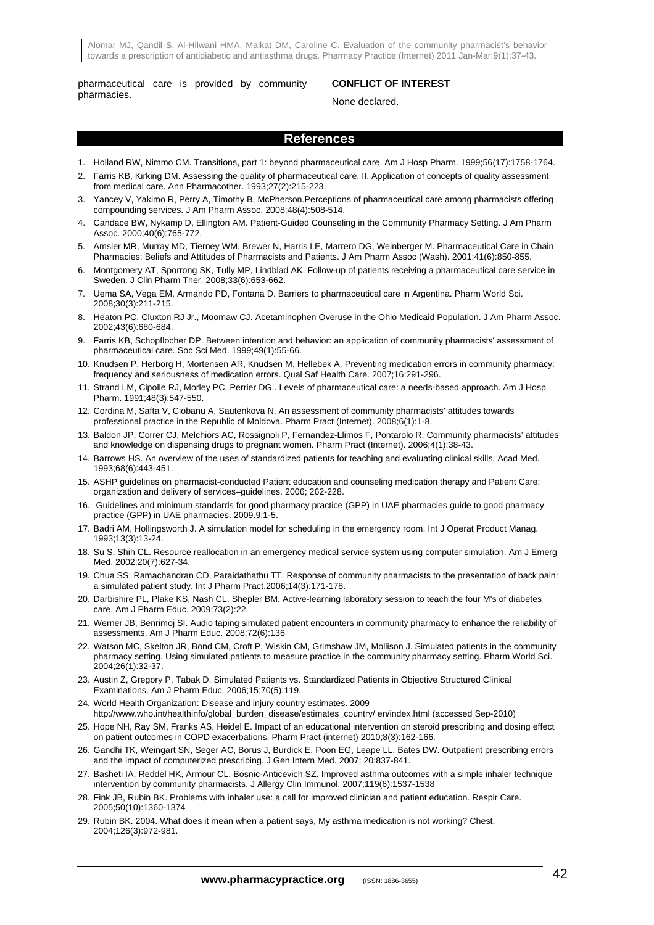Alomar MJ, Qandil S, Al-Hilwani HMA, Malkat DM, Caroline C. Evaluation of the community pharmacist's behavior towards a prescription of antidiabetic and antiasthma drugs. Pharmacy Practice (Internet) 2011 Jan-Mar;9(1):37-43.

pharmaceutical care is provided by community pharmacies.

#### **CONFLICT OF INTEREST**

None declared.

## **References**

- 1. Holland RW, Nimmo CM. Transitions, part 1: beyond pharmaceutical care. Am J Hosp Pharm. 1999;56(17):1758-1764.
- 2. Farris KB, Kirking DM. Assessing the quality of pharmaceutical care. II. Application of concepts of quality assessment from medical care. Ann Pharmacother. 1993;27(2):215-223.
- 3. Yancey V, Yakimo R, Perry A, Timothy B, McPherson.Perceptions of pharmaceutical care among pharmacists offering compounding services. J Am Pharm Assoc. 2008;48(4):508-514.
- 4. Candace BW, Nykamp D, Ellington AM. Patient-Guided Counseling in the Community Pharmacy Setting. J Am Pharm Assoc. 2000;40(6):765-772.
- 5. Amsler MR, Murray MD, Tierney WM, Brewer N, Harris LE, Marrero DG, Weinberger M. Pharmaceutical Care in Chain Pharmacies: Beliefs and Attitudes of Pharmacists and Patients. J Am Pharm Assoc (Wash). 2001;41(6):850-855.
- 6. Montgomery AT, Sporrong SK, Tully MP, Lindblad AK. Follow-up of patients receiving a pharmaceutical care service in Sweden. J Clin Pharm Ther. 2008;33(6):653-662.
- 7. Uema SA, Vega EM, Armando PD, Fontana D. Barriers to pharmaceutical care in Argentina. Pharm World Sci. 2008;30(3):211-215.
- 8. Heaton PC, Cluxton RJ Jr., Moomaw CJ. Acetaminophen Overuse in the Ohio Medicaid Population. J Am Pharm Assoc. 2002;43(6):680-684.
- 9. Farris KB, Schopflocher DP. Between intention and behavior: an application of community pharmacists' assessment of pharmaceutical care. Soc Sci Med. 1999;49(1):55-66.
- 10. Knudsen P, Herborg H, Mortensen AR, Knudsen M, Hellebek A. Preventing medication errors in community pharmacy: frequency and seriousness of medication errors. Qual Saf Health Care. 2007;16:291-296.
- 11. Strand LM, Cipolle RJ, Morley PC, Perrier DG.. Levels of pharmaceutical care: a needs-based approach. Am J Hosp Pharm. 1991;48(3):547-550.
- 12. Cordina M, Safta V, Ciobanu A, Sautenkova N. An assessment of community pharmacists' attitudes towards professional practice in the Republic of Moldova. Pharm Pract (Internet). 2008;6(1):1-8.
- 13. Baldon JP, Correr CJ, Melchiors AC, Rossignoli P, Fernandez-Llimos F, Pontarolo R. Community pharmacists' attitudes and knowledge on dispensing drugs to pregnant women. Pharm Pract (Internet). 2006;4(1):38-43.
- 14. Barrows HS. An overview of the uses of standardized patients for teaching and evaluating clinical skills. Acad Med. 1993;68(6):443-451.
- 15. ASHP guidelines on pharmacist-conducted Patient education and counseling medication therapy and Patient Care: organization and delivery of services–guidelines. 2006; 262-228.
- 16. Guidelines and minimum standards for good pharmacy practice (GPP) in UAE pharmacies guide to good pharmacy practice (GPP) in UAE pharmacies. 2009.9;1-5.
- 17. Badri AM, Hollingsworth J. A simulation model for scheduling in the emergency room. Int J Operat Product Manag. 1993;13(3):13-24.
- 18. Su S, Shih CL. Resource reallocation in an emergency medical service system using computer simulation. Am J Emerg Med. 2002;20(7):627-34.
- 19. Chua SS, Ramachandran CD, Paraidathathu TT. Response of community pharmacists to the presentation of back pain: a simulated patient study. Int J Pharm Pract.2006;14(3):171-178.
- 20. Darbishire PL, Plake KS, Nash CL, Shepler BM. Active-learning laboratory session to teach the four M's of diabetes care. Am J Pharm Educ. 2009;73(2):22.
- 21. Werner JB, Benrimoj SI. Audio taping simulated patient encounters in community pharmacy to enhance the reliability of assessments. Am J Pharm Educ. 2008;72(6):136
- 22. Watson MC, Skelton JR, Bond CM, Croft P, Wiskin CM, Grimshaw JM, Mollison J. Simulated patients in the community pharmacy setting. Using simulated patients to measure practice in the community pharmacy setting. Pharm World Sci. 2004;26(1):32-37.
- 23. Austin Z, Gregory P, Tabak D. Simulated Patients vs. Standardized Patients in Objective Structured Clinical Examinations. Am J Pharm Educ. 2006;15;70(5):119.
- 24. World Health Organization: Disease and injury country estimates. 2009 http://www.who.int/healthinfo/global\_burden\_disease/estimates\_country/ en/index.html (accessed Sep-2010)
- 25. Hope NH, Ray SM, Franks AS, Heidel E. Impact of an educational intervention on steroid prescribing and dosing effect on patient outcomes in COPD exacerbations. Pharm Pract (internet) 2010;8(3):162-166.
- 26. Gandhi TK, Weingart SN, Seger AC, Borus J, Burdick E, Poon EG, Leape LL, Bates DW. Outpatient prescribing errors and the impact of computerized prescribing. J Gen Intern Med. 2007; 20:837-841.
- 27. Basheti IA, Reddel HK, Armour CL, Bosnic-Anticevich SZ. Improved asthma outcomes with a simple inhaler technique intervention by community pharmacists. J Allergy Clin Immunol. 2007;119(6):1537-1538
- 28. Fink JB, Rubin BK. Problems with inhaler use: a call for improved clinician and patient education. Respir Care. 2005;50(10):1360-1374
- 29. Rubin BK. 2004. What does it mean when a patient says, My asthma medication is not working? Chest. 2004;126(3):972-981.